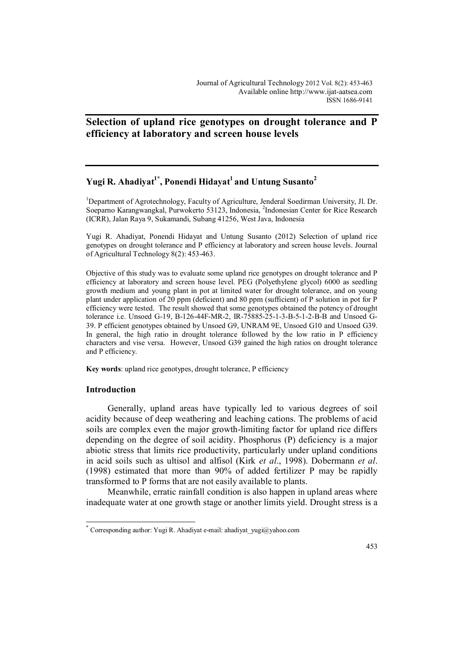# **Selection of upland rice genotypes on drought tolerance and P efficiency at laboratory and screen house levels**

# **Yugi R. Ahadiyat1\* , Ponendi Hidayat<sup>1</sup>and Untung Susanto<sup>2</sup>**

<sup>1</sup>Department of Agrotechnology, Faculty of Agriculture, Jenderal Soedirman University, Jl. Dr. Soeparno Karangwangkal, Purwokerto 53123, Indonesia, 2 Indonesian Center for Rice Research (ICRR), Jalan Raya 9, Sukamandi, Subang 41256, West Java, Indonesia

Yugi R. Ahadiyat, Ponendi Hidayat and Untung Susanto (2012) Selection of upland rice genotypes on drought tolerance and P efficiency at laboratory and screen house levels. Journal of Agricultural Technology 8(2): 453-463.

Objective of this study was to evaluate some upland rice genotypes on drought tolerance and P efficiency at laboratory and screen house level. PEG (Polyethylene glycol) 6000 as seedling growth medium and young plant in pot at limited water for drought tolerance, and on young plant under application of 20 ppm (deficient) and 80 ppm (sufficient) of P solution in pot for P efficiency were tested. The result showed that some genotypes obtained the potency of drought tolerance i.e. Unsoed G-19, B-126-44F-MR-2, IR-75885-25-1-3-B-5-1-2-B-B and Unsoed G-39. P efficient genotypes obtained by Unsoed G9, UNRAM 9E, Unsoed G10 and Unsoed G39. In general, the high ratio in drought tolerance followed by the low ratio in P efficiency characters and vise versa. However, Unsoed G39 gained the high ratios on drought tolerance and P efficiency.

**Key words**: upland rice genotypes, drought tolerance, P efficiency

### **Introduction**

 $\overline{a}$ 

Generally, upland areas have typically led to various degrees of soil acidity because of deep weathering and leaching cations. The problems of acid soils are complex even the major growth-limiting factor for upland rice differs depending on the degree of soil acidity. Phosphorus (P) deficiency is a major abiotic stress that limits rice productivity, particularly under upland conditions in acid soils such as ultisol and alfisol (Kirk *et al*., 1998). Dobermann *et al*. (1998) estimated that more than 90% of added fertilizer P may be rapidly transformed to P forms that are not easily available to plants.

Meanwhile, erratic rainfall condition is also happen in upland areas where inadequate water at one growth stage or another limits yield. Drought stress is a

<sup>\*</sup> Corresponding author: Yugi R. Ahadiyat e-mail: ahadiyat yugi@yahoo.com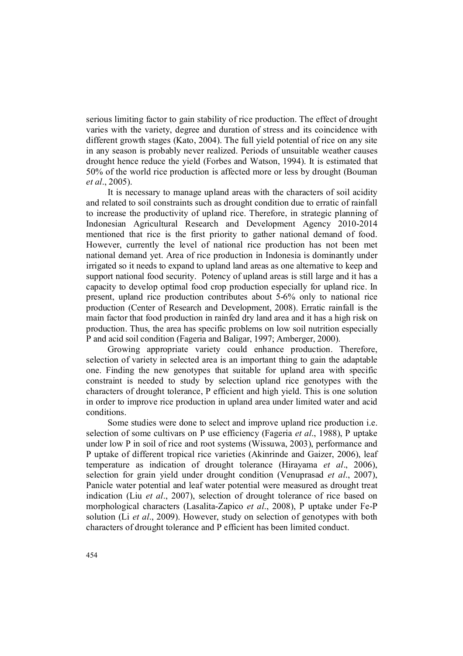serious limiting factor to gain stability of rice production. The effect of drought varies with the variety, degree and duration of stress and its coincidence with different growth stages (Kato, 2004). The full yield potential of rice on any site in any season is probably never realized. Periods of unsuitable weather causes drought hence reduce the yield (Forbes and Watson, 1994). It is estimated that 50% of the world rice production is affected more or less by drought (Bouman *et al*., 2005).

It is necessary to manage upland areas with the characters of soil acidity and related to soil constraints such as drought condition due to erratic of rainfall to increase the productivity of upland rice. Therefore, in strategic planning of Indonesian Agricultural Research and Development Agency 2010-2014 mentioned that rice is the first priority to gather national demand of food. However, currently the level of national rice production has not been met national demand yet. Area of rice production in Indonesia is dominantly under irrigated so it needs to expand to upland land areas as one alternative to keep and support national food security. Potency of upland areas is still large and it has a capacity to develop optimal food crop production especially for upland rice. In present, upland rice production contributes about 5-6% only to national rice production (Center of Research and Development, 2008). Erratic rainfall is the main factor that food production in rainfed dry land area and it has a high risk on production. Thus, the area has specific problems on low soil nutrition especially P and acid soil condition (Fageria and Baligar, 1997; Amberger, 2000).

Growing appropriate variety could enhance production. Therefore, selection of variety in selected area is an important thing to gain the adaptable one. Finding the new genotypes that suitable for upland area with specific constraint is needed to study by selection upland rice genotypes with the characters of drought tolerance, P efficient and high yield. This is one solution in order to improve rice production in upland area under limited water and acid conditions.

Some studies were done to select and improve upland rice production i.e. selection of some cultivars on P use efficiency (Fageria *et al*., 1988), P uptake under low P in soil of rice and root systems (Wissuwa, 2003), performance and P uptake of different tropical rice varieties (Akinrinde and Gaizer, 2006), leaf temperature as indication of drought tolerance (Hirayama *et al*., 2006), selection for grain yield under drought condition (Venuprasad *et al*., 2007), Panicle water potential and leaf water potential were measured as drought treat indication (Liu *et al*., 2007), selection of drought tolerance of rice based on morphological characters (Lasalita-Zapico *et al*., 2008), P uptake under Fe-P solution (Li *et al*., 2009). However, study on selection of genotypes with both characters of drought tolerance and P efficient has been limited conduct.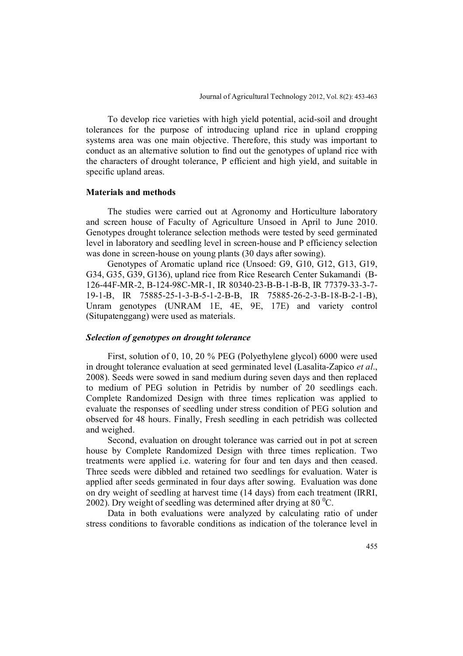To develop rice varieties with high yield potential, acid-soil and drought tolerances for the purpose of introducing upland rice in upland cropping systems area was one main objective. Therefore, this study was important to conduct as an alternative solution to find out the genotypes of upland rice with the characters of drought tolerance, P efficient and high yield, and suitable in specific upland areas.

## **Materials and methods**

The studies were carried out at Agronomy and Horticulture laboratory and screen house of Faculty of Agriculture Unsoed in April to June 2010. Genotypes drought tolerance selection methods were tested by seed germinated level in laboratory and seedling level in screen-house and P efficiency selection was done in screen-house on young plants (30 days after sowing).

Genotypes of Aromatic upland rice (Unsoed: G9, G10, G12, G13, G19, G34, G35, G39, G136), upland rice from Rice Research Center Sukamandi (B-126-44F-MR-2, B-124-98C-MR-1, IR 80340-23-B-B-1-B-B, IR 77379-33-3-7- 19-1-B, IR 75885-25-1-3-B-5-1-2-B-B, IR 75885-26-2-3-B-18-B-2-1-B), Unram genotypes (UNRAM 1E, 4E, 9E, 17E) and variety control (Situpatenggang) were used as materials.

# *Selection of genotypes on drought tolerance*

First, solution of 0, 10, 20 % PEG (Polyethylene glycol) 6000 were used in drought tolerance evaluation at seed germinated level (Lasalita-Zapico *et al*., 2008). Seeds were sowed in sand medium during seven days and then replaced to medium of PEG solution in Petridis by number of 20 seedlings each. Complete Randomized Design with three times replication was applied to evaluate the responses of seedling under stress condition of PEG solution and observed for 48 hours. Finally, Fresh seedling in each petridish was collected and weighed.

Second, evaluation on drought tolerance was carried out in pot at screen house by Complete Randomized Design with three times replication. Two treatments were applied i.e. watering for four and ten days and then ceased. Three seeds were dibbled and retained two seedlings for evaluation. Water is applied after seeds germinated in four days after sowing. Evaluation was done on dry weight of seedling at harvest time (14 days) from each treatment (IRRI, 2002). Dry weight of seedling was determined after drying at  $80^{\circ}$ C.

Data in both evaluations were analyzed by calculating ratio of under stress conditions to favorable conditions as indication of the tolerance level in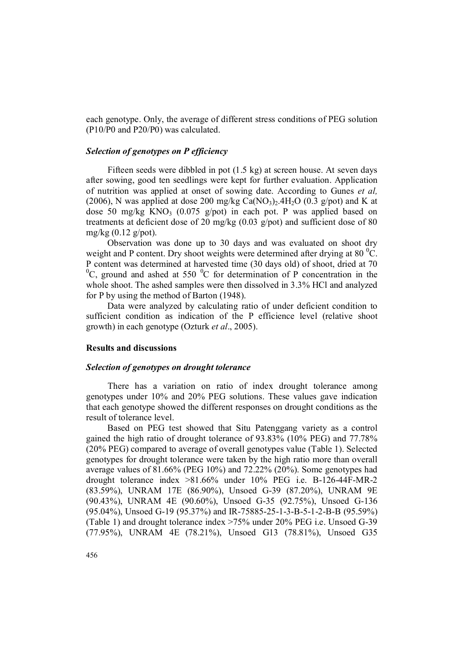each genotype. Only, the average of different stress conditions of PEG solution (P10/P0 and P20/P0) was calculated.

# *Selection of genotypes on P efficiency*

Fifteen seeds were dibbled in pot (1.5 kg) at screen house. At seven days after sowing, good ten seedlings were kept for further evaluation. Application of nutrition was applied at onset of sowing date. According to Gunes *et al,* (2006), N was applied at dose 200 mg/kg  $Ca(NO<sub>3</sub>)<sub>2</sub>$ .4H<sub>2</sub>O (0.3 g/pot) and K at dose 50 mg/kg KNO<sub>3</sub> (0.075 g/pot) in each pot. P was applied based on treatments at deficient dose of 20 mg/kg (0.03 g/pot) and sufficient dose of 80 mg/kg  $(0.12 \text{ g}/\text{pot})$ .

Observation was done up to 30 days and was evaluated on shoot dry weight and P content. Dry shoot weights were determined after drying at  $80<sup>0</sup>C$ . P content was determined at harvested time (30 days old) of shoot, dried at 70  ${}^{0}C$ , ground and ashed at 550  ${}^{0}C$  for determination of P concentration in the whole shoot. The ashed samples were then dissolved in 3.3% HCl and analyzed for P by using the method of Barton (1948).

Data were analyzed by calculating ratio of under deficient condition to sufficient condition as indication of the P efficience level (relative shoot growth) in each genotype (Ozturk *et al*., 2005).

## **Results and discussions**

#### *Selection of genotypes on drought tolerance*

There has a variation on ratio of index drought tolerance among genotypes under 10% and 20% PEG solutions. These values gave indication that each genotype showed the different responses on drought conditions as the result of tolerance level.

Based on PEG test showed that Situ Patenggang variety as a control gained the high ratio of drought tolerance of 93.83% (10% PEG) and 77.78% (20% PEG) compared to average of overall genotypes value (Table 1). Selected genotypes for drought tolerance were taken by the high ratio more than overall average values of 81.66% (PEG 10%) and 72.22% (20%). Some genotypes had drought tolerance index >81.66% under 10% PEG i.e. B-126-44F-MR-2 (83.59%), UNRAM 17E (86.90%), Unsoed G-39 (87.20%), UNRAM 9E (90.43%), UNRAM 4E (90.60%), Unsoed G-35 (92.75%), Unsoed G-136 (95.04%), Unsoed G-19 (95.37%) and IR-75885-25-1-3-B-5-1-2-B-B (95.59%) (Table 1) and drought tolerance index >75% under 20% PEG i.e. Unsoed G-39 (77.95%), UNRAM 4E (78.21%), Unsoed G13 (78.81%), Unsoed G35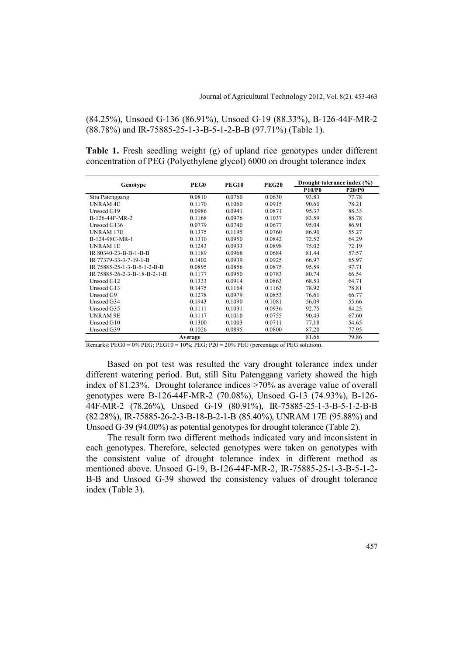(84.25%), Unsoed G-136 (86.91%), Unsoed G-19 (88.33%), B-126-44F-MR-2 (88.78%) and IR-75885-25-1-3-B-5-1-2-B-B (97.71%) (Table 1).

**Table 1.** Fresh seedling weight (g) of upland rice genotypes under different concentration of PEG (Polyethylene glycol) 6000 on drought tolerance index

| <b>PEG10</b><br>PEG <sub>0</sub><br>Genotype |        |        | <b>PEG20</b> | Drought tolerance index (%) |       |
|----------------------------------------------|--------|--------|--------------|-----------------------------|-------|
|                                              |        |        | P10/P0       | P20/P0                      |       |
| Situ Patenggang                              | 0.0810 | 0.0760 | 0.0630       | 93.83                       | 77.78 |
| <b>UNRAM 4E</b>                              | 0.1170 | 0.1060 | 0.0915       | 90.60                       | 78.21 |
| Unsoed G19                                   | 0.0986 | 0.0941 | 0.0871       | 95.37                       | 88.33 |
| B-126-44F-MR-2                               | 0.1168 | 0.0976 | 0.1037       | 83.59                       | 88.78 |
| Unsoed G136                                  | 0.0779 | 0.0740 | 0.0677       | 95.04                       | 86.91 |
| <b>UNRAM 17E</b>                             | 0.1375 | 0.1195 | 0.0760       | 86.90                       | 55.27 |
| B-124-98C-MR-1                               | 0.1310 | 0.0950 | 0.0842       | 72.52                       | 64.29 |
| <b>UNRAM 1E</b>                              | 0.1243 | 0.0933 | 0.0898       | 75.02                       | 72.19 |
| IR 80340-23-B-B-1-B-B                        | 0.1189 | 0.0968 | 0.0684       | 81.44                       | 57.57 |
| IR 77379-33-3-7-19-1-B                       | 0.1402 | 0.0939 | 0.0925       | 66.97                       | 65.97 |
| IR 75885-25-1-3-B-5-1-2-B-B                  | 0.0895 | 0.0856 | 0.0875       | 95.59                       | 97.71 |
| IR 75885-26-2-3-B-18-B-2-1-B                 | 0.1177 | 0.0950 | 0.0783       | 80.74                       | 66.54 |
| Unsoed G12                                   | 0.1333 | 0.0914 | 0.0863       | 68.53                       | 64.71 |
| Unsoed G13                                   | 0.1475 | 0.1164 | 0.1163       | 78.92                       | 78.81 |
| Unsoed G9                                    | 0.1278 | 0.0979 | 0.0853       | 76.61                       | 66.77 |
| Unsoed G34                                   | 0.1943 | 0.1090 | 0.1081       | 56.09                       | 55.66 |
| Unsoed G35                                   | 0.1111 | 0.1031 | 0.0936       | 92.75                       | 84.25 |
| <b>UNRAM 9E</b>                              | 0.1117 | 0.1010 | 0.0755       | 90.43                       | 67.60 |
| Unsoed G10                                   | 0.1300 | 0.1003 | 0.0711       | 77.18                       | 54.65 |
| Unsoed G39                                   | 0.1026 | 0.0895 | 0.0800       | 87.20                       | 77.95 |
| Average                                      |        |        |              | 81.66                       | 79.86 |

Remarks:  $PEG0 = 0\% PEG$ ;  $PEG10 = 10\%; PEG$ ;  $P20 = 20\% PEG$  (percentage of PEG solution).

Based on pot test was resulted the vary drought tolerance index under different watering period. But, still Situ Patenggang variety showed the high index of 81.23%. Drought tolerance indices >70% as average value of overall genotypes were B-126-44F-MR-2 (70.08%), Unsoed G-13 (74.93%), B-126- 44F-MR-2 (78.26%), Unsoed G-19 (80.91%), IR-75885-25-1-3-B-5-1-2-B-B (82.28%), IR-75885-26-2-3-B-18-B-2-1-B (85.40%), UNRAM 17E (95.88%) and Unsoed G-39 (94.00%) as potential genotypes for drought tolerance (Table 2).

The result form two different methods indicated vary and inconsistent in each genotypes. Therefore, selected genotypes were taken on genotypes with the consistent value of drought tolerance index in different method as mentioned above. Unsoed G-19, B-126-44F-MR-2, IR-75885-25-1-3-B-5-1-2- B-B and Unsoed G-39 showed the consistency values of drought tolerance index (Table 3).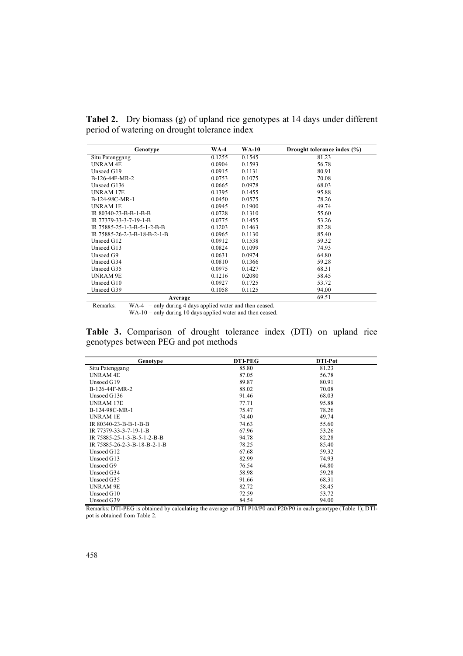**Tabel 2.** Dry biomass (g) of upland rice genotypes at 14 days under different period of watering on drought tolerance index

| Genotype                     | <b>WA-4</b> | <b>WA-10</b> | Drought tolerance index (%) |
|------------------------------|-------------|--------------|-----------------------------|
| Situ Patenggang              | 0.1255      | 0.1545       | 81.23                       |
| <b>UNRAM4E</b>               | 0.0904      | 0.1593       | 56.78                       |
| Unsoed G19                   | 0.0915      | 0.1131       | 80.91                       |
| B-126-44F-MR-2               | 0.0753      | 0.1075       | 70.08                       |
| Unsoed G136                  | 0.0665      | 0.0978       | 68.03                       |
| UNRAM 17E                    | 0.1395      | 0.1455       | 95.88                       |
| B-124-98C-MR-1               | 0.0450      | 0.0575       | 78.26                       |
| UNRAM 1E                     | 0.0945      | 0.1900       | 49.74                       |
| IR 80340-23-B-B-1-B-B        | 0.0728      | 0.1310       | 55.60                       |
| IR 77379-33-3-7-19-1-B       | 0.0775      | 0.1455       | 53.26                       |
| IR 75885-25-1-3-B-5-1-2-B-B  | 0.1203      | 0.1463       | 82.28                       |
| IR 75885-26-2-3-B-18-B-2-1-B | 0.0965      | 0.1130       | 85.40                       |
| Unsoed G12                   | 0.0912      | 0.1538       | 59.32                       |
| Unsoed G13                   | 0.0824      | 0.1099       | 74.93                       |
| Unsoed G9                    | 0.0631      | 0.0974       | 64.80                       |
| Unsoed G34                   | 0.0810      | 0.1366       | 59.28                       |
| Unsoed G35                   | 0.0975      | 0.1427       | 68.31                       |
| <b>UNRAM 9E</b>              | 0.1216      | 0.2080       | 58.45                       |
| Unsoed G10                   | 0.0927      | 0.1725       | 53.72                       |
| Unsoed G39                   | 0.1058      | 0.1125       | 94.00                       |
| Average                      |             |              | 69.51                       |

Remarks: WA-4 = only during 4 days applied water and then ceased.  $WA-10 = only during 10 days applied water and then ceased.$ 

**Table 3.** Comparison of drought tolerance index (DTI) on upland rice genotypes between PEG and pot methods

| Genotype                     | <b>DTI-PEG</b> | DTI-Pot |
|------------------------------|----------------|---------|
| Situ Patenggang              | 85.80          | 81.23   |
| <b>UNRAM 4E</b>              | 87.05          | 56.78   |
| Unsoed G19                   | 89.87          | 80.91   |
| B-126-44F-MR-2               | 88.02          | 70.08   |
| Unsoed G136                  | 91.46          | 68.03   |
| <b>UNRAM 17E</b>             | 77.71          | 95.88   |
| B-124-98C-MR-1               | 75.47          | 78.26   |
| UNRAM 1E                     | 74.40          | 49.74   |
| IR 80340-23-B-B-1-B-B        | 74.63          | 55.60   |
| IR 77379-33-3-7-19-1-B       | 67.96          | 53.26   |
| IR 75885-25-1-3-B-5-1-2-B-B  | 94.78          | 82.28   |
| IR 75885-26-2-3-B-18-B-2-1-B | 78.25          | 85.40   |
| Unsoed G12                   | 67.68          | 59.32   |
| Unsoed G13                   | 82.99          | 74.93   |
| Unsoed G9                    | 76.54          | 64.80   |
| Unsoed G34                   | 58.98          | 59.28   |
| Unsoed G35                   | 91.66          | 68.31   |
| <b>UNRAM 9E</b>              | 82.72          | 58.45   |
| Unsoed G10                   | 72.59          | 53.72   |
| Unsoed G39                   | 84.54          | 94.00   |

Remarks: DTI-PEG is obtained by calculating the average of DTI P10/P0 and P20/P0 in each genotype (Table 1); DTIpot is obtained from Table 2.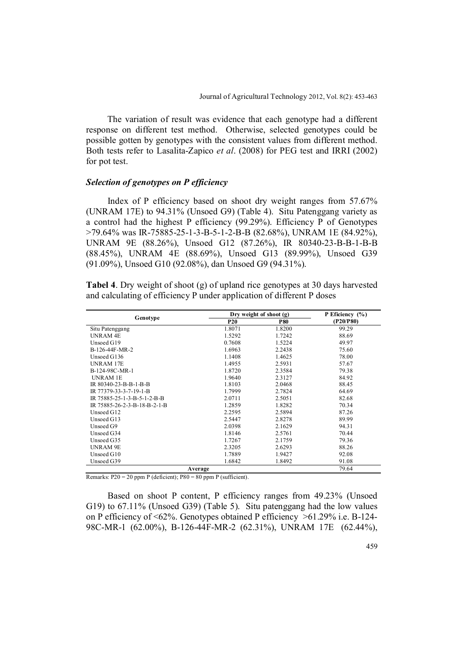The variation of result was evidence that each genotype had a different response on different test method. Otherwise, selected genotypes could be possible gotten by genotypes with the consistent values from different method. Both tests refer to Lasalita-Zapico *et al*. (2008) for PEG test and IRRI (2002) for pot test.

### *Selection of genotypes on P efficiency*

Index of P efficiency based on shoot dry weight ranges from 57.67% (UNRAM 17E) to 94.31% (Unsoed G9) (Table 4). Situ Patenggang variety as a control had the highest P efficiency (99.29%). Efficiency P of Genotypes >79.64% was IR-75885-25-1-3-B-5-1-2-B-B (82.68%), UNRAM 1E (84.92%), UNRAM 9E (88.26%), Unsoed G12 (87.26%), IR 80340-23-B-B-1-B-B (88.45%), UNRAM 4E (88.69%), Unsoed G13 (89.99%), Unsoed G39 (91.09%), Unsoed G10 (92.08%), dan Unsoed G9 (94.31%).

**Tabel 4**. Dry weight of shoot (g) of upland rice genotypes at 30 days harvested and calculating of efficiency P under application of different P doses

|                              |            | Dry weight of shoot (g) |           |  |
|------------------------------|------------|-------------------------|-----------|--|
| Genotype                     | <b>P20</b> | <b>P80</b>              | (P20/P80) |  |
| Situ Patenggang              | 1.8071     | 1.8200                  | 99.29     |  |
| <b>UNRAM 4E</b>              | 1.5292     | 1.7242                  | 88.69     |  |
| Unsoed G19                   | 0.7608     | 1.5224                  | 49.97     |  |
| B-126-44F-MR-2               | 1.6963     | 2.2438                  | 75.60     |  |
| Unsoed G136                  | 1.1408     | 1.4625                  | 78.00     |  |
| UNRAM 17E                    | 1.4955     | 2.5931                  | 57.67     |  |
| B-124-98C-MR-1               | 1.8720     | 2.3584                  | 79.38     |  |
| <b>UNRAM 1E</b>              | 1.9640     | 2.3127                  | 84.92     |  |
| IR 80340-23-B-B-1-B-B        | 1.8103     | 2.0468                  | 88.45     |  |
| IR 77379-33-3-7-19-1-B       | 1.7999     | 2.7824                  | 64.69     |  |
| IR 75885-25-1-3-B-5-1-2-B-B  | 2.0711     | 2.5051                  | 82.68     |  |
| IR 75885-26-2-3-B-18-B-2-1-B | 1.2859     | 1.8282                  | 70.34     |  |
| Unsoed G12                   | 2.2595     | 2.5894                  | 87.26     |  |
| Unsoed G13                   | 2.5447     | 2.8278                  | 89.99     |  |
| Unsoed G9                    | 2.0398     | 2.1629                  | 94.31     |  |
| Unsoed G34                   | 1.8146     | 2.5761                  | 70.44     |  |
| Unsoed G35                   | 1.7267     | 2.1759                  | 79.36     |  |
| <b>UNRAM 9E</b>              | 2.3205     | 2.6293                  | 88.26     |  |
| Unsoed G10                   | 1.7889     | 1.9427                  | 92.08     |  |
| Unsoed G39                   | 1.6842     | 1.8492                  | 91.08     |  |
| Average                      | 79.64      |                         |           |  |

Remarks:  $P20 = 20$  ppm P (deficient);  $P80 = 80$  ppm P (sufficient).

Based on shoot P content, P efficiency ranges from 49.23% (Unsoed G19) to 67.11% (Unsoed G39) (Table 5). Situ patenggang had the low values on P efficiency of <62%. Genotypes obtained P efficiency >61.29% i.e. B-124- 98C-MR-1 (62.00%), B-126-44F-MR-2 (62.31%), UNRAM 17E (62.44%),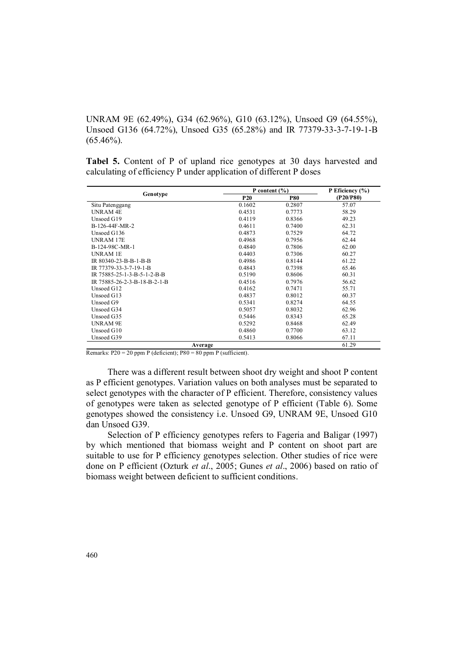UNRAM 9E (62.49%), G34 (62.96%), G10 (63.12%), Unsoed G9 (64.55%), Unsoed G136 (64.72%), Unsoed G35 (65.28%) and IR 77379-33-3-7-19-1-B  $(65.46\%)$ .

**Tabel 5.** Content of P of upland rice genotypes at 30 days harvested and calculating of efficiency P under application of different P doses

|                              | P content $(\% )$ | P Eficiency $(\% )$ |           |
|------------------------------|-------------------|---------------------|-----------|
| Genotype                     | <b>P20</b>        | <b>P80</b>          | (P20/P80) |
| Situ Patenggang              | 0.1602            | 0.2807              | 57.07     |
| <b>UNRAM 4E</b>              | 0.4531            | 0.7773              | 58.29     |
| Unsoed G19                   | 0.4119            | 0.8366              | 49.23     |
| B-126-44F-MR-2               | 0.4611            | 0.7400              | 62.31     |
| Unsoed G136                  | 0.4873            | 0.7529              | 64.72     |
| <b>UNRAM 17E</b>             | 0.4968            | 0.7956              | 62.44     |
| B-124-98C-MR-1               | 0.4840            | 0.7806              | 62.00     |
| <b>UNRAM 1E</b>              | 0.4403            | 0.7306              | 60.27     |
| IR 80340-23-B-B-1-B-B        | 0.4986            | 0.8144              | 61.22     |
| IR 77379-33-3-7-19-1-B       | 0.4843            | 0.7398              | 65.46     |
| IR 75885-25-1-3-B-5-1-2-B-B  | 0.5190            | 0.8606              | 60.31     |
| IR 75885-26-2-3-B-18-B-2-1-B | 0.4516            | 0.7976              | 56.62     |
| Unsoed G12                   | 0.4162            | 0.7471              | 55.71     |
| Unsoed G13                   | 0.4837            | 0.8012              | 60.37     |
| Unsoed G9                    | 0.5341            | 0.8274              | 64.55     |
| Unsoed G34                   | 0.5057            | 0.8032              | 62.96     |
| Unsoed G35                   | 0.5446            | 0.8343              | 65.28     |
| <b>UNRAM 9E</b>              | 0.5292            | 0.8468              | 62.49     |
| Unsoed G10                   | 0.4860            | 0.7700              | 63.12     |
| Unsoed G39                   | 0.5413            | 0.8066              | 67.11     |
| Average                      |                   |                     | 61.29     |

Remarks: P20 = 20 ppm P (deficient); P80 = 80 ppm P (sufficient).

There was a different result between shoot dry weight and shoot P content as P efficient genotypes. Variation values on both analyses must be separated to select genotypes with the character of P efficient. Therefore, consistency values of genotypes were taken as selected genotype of P efficient (Table 6). Some genotypes showed the consistency i.e. Unsoed G9, UNRAM 9E, Unsoed G10 dan Unsoed G39.

Selection of P efficiency genotypes refers to Fageria and Baligar (1997) by which mentioned that biomass weight and P content on shoot part are suitable to use for P efficiency genotypes selection. Other studies of rice were done on P efficient (Ozturk *et al*., 2005; Gunes *et al*., 2006) based on ratio of biomass weight between deficient to sufficient conditions.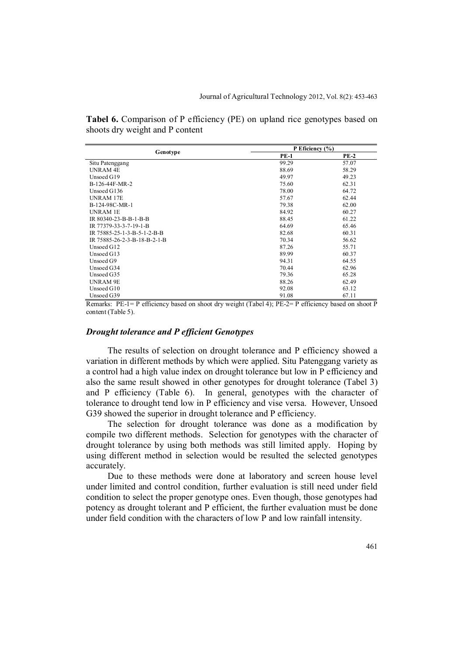**Tabel 6.** Comparison of P efficiency (PE) on upland rice genotypes based on shoots dry weight and P content

|                              | P Eficiency $(\% )$ |        |  |
|------------------------------|---------------------|--------|--|
| Genotype                     | <b>PE-1</b>         | $PE-2$ |  |
| Situ Patenggang              | 99.29               | 57.07  |  |
| <b>UNRAM 4E</b>              | 88.69               | 58.29  |  |
| Unsoed G19                   | 49.97               | 49.23  |  |
| B-126-44F-MR-2               | 75.60               | 62.31  |  |
| Unsoed G136                  | 78.00               | 64.72  |  |
| <b>UNRAM 17E</b>             | 57.67               | 62.44  |  |
| B-124-98C-MR-1               | 79.38               | 62.00  |  |
| <b>UNRAM 1E</b>              | 84.92               | 60.27  |  |
| IR 80340-23-B-B-1-B-B        | 88.45               | 61.22  |  |
| IR 77379-33-3-7-19-1-B       | 64.69               | 65.46  |  |
| IR 75885-25-1-3-B-5-1-2-B-B  | 82.68               | 60.31  |  |
| IR 75885-26-2-3-B-18-B-2-1-B | 70.34               | 56.62  |  |
| Unsoed G12                   | 87.26               | 55.71  |  |
| Unsoed G13                   | 89.99               | 60.37  |  |
| Unsoed G9                    | 94.31               | 64.55  |  |
| Unsoed G34                   | 70.44               | 62.96  |  |
| Unsoed G35                   | 79.36               | 65.28  |  |
| <b>UNRAM 9E</b>              | 88.26               | 62.49  |  |
| Unsoed G10                   | 92.08               | 63.12  |  |
| Unsoed G39                   | 91.08               | 67.11  |  |

Remarks:  $PE-I = P$  efficiency based on shoot dry weight (Tabel 4);  $PE-Z = P$  efficiency based on shoot P content (Table 5).

#### *Drought tolerance and P efficient Genotypes*

The results of selection on drought tolerance and P efficiency showed a variation in different methods by which were applied. Situ Patenggang variety as a control had a high value index on drought tolerance but low in P efficiency and also the same result showed in other genotypes for drought tolerance (Tabel 3) and P efficiency (Table 6). In general, genotypes with the character of tolerance to drought tend low in P efficiency and vise versa. However, Unsoed G39 showed the superior in drought tolerance and P efficiency.

The selection for drought tolerance was done as a modification by compile two different methods. Selection for genotypes with the character of drought tolerance by using both methods was still limited apply. Hoping by using different method in selection would be resulted the selected genotypes accurately.

Due to these methods were done at laboratory and screen house level under limited and control condition, further evaluation is still need under field condition to select the proper genotype ones. Even though, those genotypes had potency as drought tolerant and P efficient, the further evaluation must be done under field condition with the characters of low P and low rainfall intensity.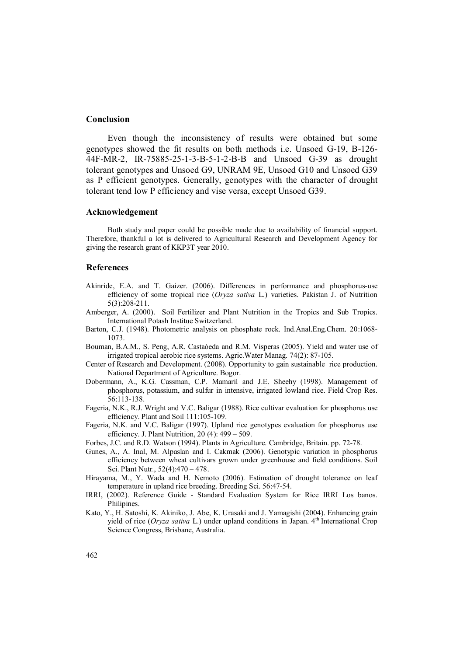# **Conclusion**

Even though the inconsistency of results were obtained but some genotypes showed the fit results on both methods i.e. Unsoed G-19, B-126- 44F-MR-2, IR-75885-25-1-3-B-5-1-2-B-B and Unsoed G-39 as drought tolerant genotypes and Unsoed G9, UNRAM 9E, Unsoed G10 and Unsoed G39 as P efficient genotypes. Generally, genotypes with the character of drought tolerant tend low P efficiency and vise versa, except Unsoed G39.

#### **Acknowledgement**

Both study and paper could be possible made due to availability of financial support. Therefore, thankful a lot is delivered to Agricultural Research and Development Agency for giving the research grant of KKP3T year 2010.

#### **References**

- Akinride, E.A. and T. Gaizer. (2006). Differences in performance and phosphorus-use efficiency of some tropical rice (*Oryza sativa* L.) varieties. Pakistan J. of Nutrition 5(3):208-211.
- Amberger, A. (2000). Soil Fertilizer and Plant Nutrition in the Tropics and Sub Tropics. International Potash Institue Switzerland.
- Barton, C.J. (1948). Photometric analysis on phosphate rock. Ind.Anal.Eng.Chem. 20:1068- 1073.
- Bouman, B.A.M., S. Peng, A.R. Castaòeda and R.M. Visperas (2005). Yield and water use of irrigated tropical aerobic rice systems. Agric.Water Manag. 74(2): 87-105.
- Center of Research and Development. (2008). Opportunity to gain sustainable rice production. National Department of Agriculture. Bogor.
- Dobermann, A., K.G. Cassman, C.P. Mamaril and J.E. Sheehy (1998). Management of phosphorus, potassium, and sulfur in intensive, irrigated lowland rice. Field Crop Res. 56:113-138.
- Fageria, N.K., R.J. Wright and V.C. Baligar (1988). Rice cultivar evaluation for phosphorus use efficiency. Plant and Soil 111:105-109.
- Fageria, N.K. and V.C. Baligar (1997). Upland rice genotypes evaluation for phosphorus use efficiency. J. Plant Nutrition, 20 (4): 499 – 509.
- Forbes, J.C. and R.D. Watson (1994). Plants in Agriculture. Cambridge, Britain. pp. 72-78.
- Gunes, A., A. Inal, M. Alpaslan and I. Cakmak (2006). Genotypic variation in phosphorus efficiency between wheat cultivars grown under greenhouse and field conditions. Soil Sci. Plant Nutr*.*, 52(4):470 – 478.
- Hirayama, M., Y. Wada and H. Nemoto (2006). Estimation of drought tolerance on leaf temperature in upland rice breeding. Breeding Sci. 56:47-54.
- IRRI, (2002). Reference Guide Standard Evaluation System for Rice IRRI Los banos. Philipines.
- Kato, Y., H. Satoshi, K. Akiniko, J. Abe, K. Urasaki and J. Yamagishi (2004). Enhancing grain yield of rice (*Oryza sativa* L.) under upland conditions in Japan. 4<sup>th</sup> International Crop Science Congress, Brisbane, Australia.